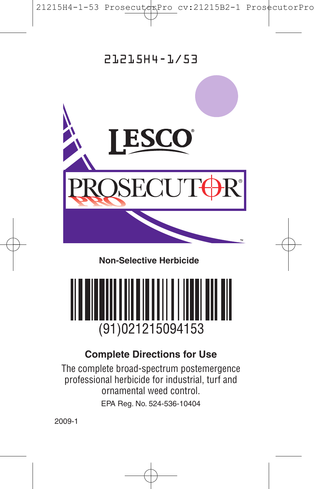

21215H4-1/53



**Non-Selective Herbicide** 



### **Complete Directions for Use**

The complete broad-spectrum postemergence professional herbicide for industrial, turf and ornamental weed control. EPA Reg. No. 524-536-10404

2009-1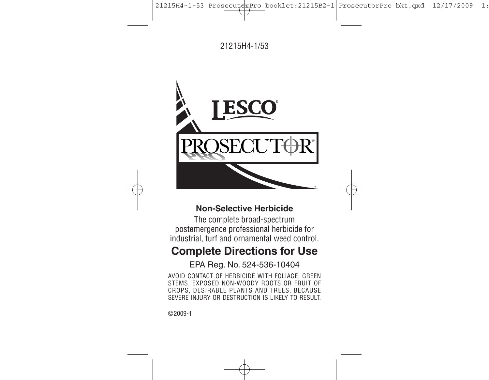

21215H4-1/53



The complete broad-spectrum postemergence professional herbicide for industrial, turf and ornamental weed control.

# **Complete Directions for Use**

### EPA Reg. No. 524-536-10404

AVOID CONTACT OF HERBICIDE WITH FOLIAGE, GREEN STEMS, EXPOSED NON-WOODY ROOTS OR FRUIT OF CROPS, DESIRABLE PLANTS AND TREES, BECAUSE SEVERE INJURY OR DESTRUCTION IS LIKELY TO RESULT.

©2009-1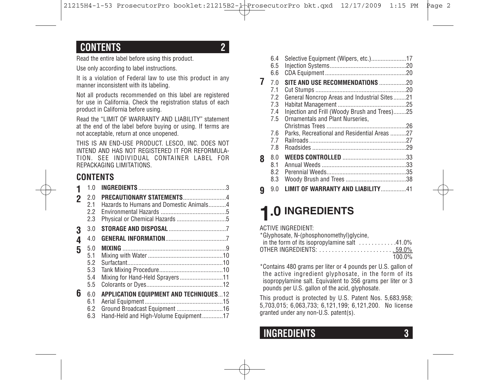## **INGREDIENTS 2 CONTENTS 2**

Read the entire label before using this product.

Use only according to label instructions.

It is a violation of Federal law to use this product in any manner inconsistent with its labeling.

Not all products recommended on this label are registered for use in California. Check the registration status of each product in California before using.

Read the "LIMIT OF WARRANTY AND LIABILITY" statement at the end of the label before buying or using. If terms are not acceptable, return at once unopened.

THIS IS AN END-USE PRODUCT. LESCO, INC. DOES NOT INTEND AND HAS NOT REGISTERED IT FOR REFORMULA-TION. SEE INDIVIDUAL CONTAINER LABEL FOR REPACKAGING LIMITATIONS.

## **CONTENTS**

| 1 | 1.0 |                                               |  |
|---|-----|-----------------------------------------------|--|
| 2 | 2.0 |                                               |  |
|   | 21  | Hazards to Humans and Domestic Animals4       |  |
|   | 2.2 |                                               |  |
|   | 23  |                                               |  |
| 3 | 3.0 |                                               |  |
| 4 | 4.0 |                                               |  |
| 5 | 5.0 |                                               |  |
|   | 5.1 |                                               |  |
|   | 5.2 |                                               |  |
|   | 5.3 |                                               |  |
|   | 5.4 |                                               |  |
|   | 5.5 |                                               |  |
| 6 | 60  | <b>APPLICATION EQUIPMENT AND TECHNIQUES12</b> |  |
|   | 6 1 |                                               |  |
|   | 6.2 |                                               |  |
|   | 6.3 | Hand-Held and High-Volume Equipment17         |  |

|   | 64<br>6.5<br>6.6 |                                               |  |
|---|------------------|-----------------------------------------------|--|
|   | 70<br>7.1        |                                               |  |
|   | 72               | General Noncrop Areas and Industrial Sites21  |  |
|   | 73               |                                               |  |
|   | 74               | Injection and Frill (Woody Brush and Trees)25 |  |
|   | 75               | <b>Ornamentals and Plant Nurseries,</b>       |  |
|   |                  |                                               |  |
|   | 76               | Parks, Recreational and Residential Areas 27  |  |
|   | 77               |                                               |  |
|   | 78               |                                               |  |
| 8 | 80               |                                               |  |
|   | 81               |                                               |  |
|   | 82               |                                               |  |
|   | 8.3              |                                               |  |
| g | 9.0              | LIMIT OF WARRANTY AND LIABILITY41             |  |
|   |                  |                                               |  |

# **1.0 INGREDIENTS**

### ACTIVE INGREDIENT:

| *Glyphosate, N-(phosphonomethyl)glycine,                       |        |
|----------------------------------------------------------------|--------|
| in the form of its isopropylamine salt $\dots\dots\dots$ 41.0% |        |
|                                                                |        |
|                                                                | 100.0% |

\*Contains 480 grams per liter or 4 pounds per U.S. gallon of the active ingredient glyphosate, in the form of its isopropylamine salt. Equivalent to 356 grams per liter or 3 pounds per U.S. gallon of the acid, glyphosate.

This product is protected by U.S. Patent Nos. 5,683,958; 5,703,015; 6,063,733; 6,121,199; 6,121,200. No license granted under any non-U.S. patent(s).

| INGREDIENTS |  |
|-------------|--|
|             |  |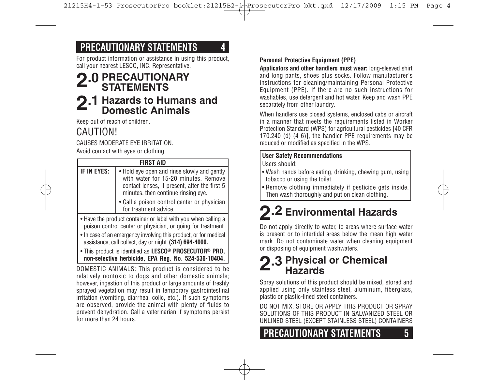# **PRECAUTIONARY STATEMENTS 4**

For product information or assistance in using this product, call your nearest LESCO, INC. Representative.

# **2.0 PRECAUTIONARY STATEMENTS**

## **2.1 Hazards to Humans and Domestic Animals**

Keep out of reach of children.

# CAUTION!

CAUSES MODERATE EYE IRRITATION. Avoid contact with eyes or clothing.

| <b>FIRST AID</b>                                                                                                                        |                                                                                                                                                                                                                                                     |  |
|-----------------------------------------------------------------------------------------------------------------------------------------|-----------------------------------------------------------------------------------------------------------------------------------------------------------------------------------------------------------------------------------------------------|--|
| IF IN EYES:                                                                                                                             | • Hold eye open and rinse slowly and gently<br>with water for 15-20 minutes. Remove<br>contact lenses, if present, after the first 5<br>minutes, then continue rinsing eye.<br>• Call a poison control center or physician<br>for treatment advice. |  |
| • Have the product container or label with you when calling a<br>poison control center or physician, or going for treatment.            |                                                                                                                                                                                                                                                     |  |
| • In case of an emergency involving this product, or for medical<br>assistance, call collect, day or night (314) 694-4000.              |                                                                                                                                                                                                                                                     |  |
| • This product is identified as LESCO <sup>®</sup> PROSECUTOR <sup>®</sup> PRO,<br>non-selective herbicide. EPA Rea. No. 524-536-10404. |                                                                                                                                                                                                                                                     |  |

DOMESTIC ANIMALS: This product is considered to be relatively nontoxic to dogs and other domestic animals; however, ingestion of this product or large amounts of freshly sprayed vegetation may result in temporary gastrointestinal irritation (vomiting, diarrhea, colic, etc.). If such symptoms are observed, provide the animal with plenty of fluids to prevent dehydration. Call a veterinarian if symptoms persist for more than 24 hours.

### **Personal Protective Equipment (PPE)**

**Applicators and other handlers must wear:** long-sleeved shirt and long pants, shoes plus socks. Follow manufacturer's instructions for cleaning/maintaining Personal Protective Equipment (PPE). If there are no such instructions for washables, use detergent and hot water. Keep and wash PPE separately from other laundry.

When handlers use closed systems, enclosed cabs or aircraft in a manner that meets the requirements listed in Worker Protection Standard (WPS) for agricultural pesticides [40 CFR 170.240 (d) (4-6)], the handler PPE requirements may be reduced or modified as specified in the WPS.

### **User Safety Recommendations**

Users should:

- Wash hands before eating, drinking, chewing gum, using tobacco or using the toilet.
- Remove clothing immediately if pesticide gets inside. Then wash thoroughly and put on clean clothing.

# **2.2 Environmental Hazards**

Do not apply directly to water, to areas where surface water is present or to intertidal areas below the mean high water mark. Do not contaminate water when cleaning equipment or disposing of equipment washwaters.

# **2.3 Physical or Chemical Hazards**

Spray solutions of this product should be mixed, stored and applied using only stainless steel, aluminum, fiberglass, plastic or plastic-lined steel containers.

DO NOT MIX, STORE OR APPLY THIS PRODUCT OR SPRAY SOLUTIONS OF THIS PRODUCT IN GALVANIZED STEEL OR UNLINED STEEL (EXCEPT STAINLESS STEEL) CONTAINERS

# **PRECAUTIONARY STATEMENTS 5**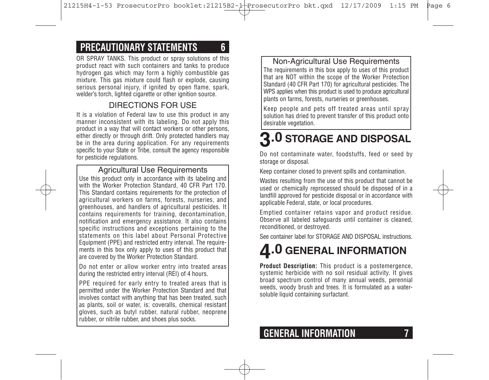## **PRECAUTIONARY STATEMENTS 6**

OR SPRAY TANKS. This product or spray solutions of this product react with such containers and tanks to produce hydrogen gas which may form a highly combustible gas mixture. This gas mixture could flash or explode, causing serious personal injury, if ignited by open flame, spark, welder's torch, lighted cigarette or other ignition source.

### DIRECTIONS FOR USE

It is a violation of Federal law to use this product in any manner inconsistent with its labeling. Do not apply this product in a way that will contact workers or other persons, either directly or through drift. Only protected handlers may be in the area during application. For any requirements specific to your State or Tribe, consult the agency responsible for pesticide regulations.

### Agricultural Use Requirements

Use this product only in accordance with its labeling and with the Worker Protection Standard, 40 CFR Part 170. This Standard contains requirements for the protection of agricultural workers on farms, forests, nurseries, and greenhouses, and handlers of agricultural pesticides. It contains requirements for training, decontamination, notification and emergency assistance. It also contains specific instructions and exceptions pertaining to the statements on this label about Personal Protective Equipment (PPE) and restricted entry interval. The requirements in this box only apply to uses of this product that are covered by the Worker Protection Standard.

Do not enter or allow worker entry into treated areas during the restricted entry interval (REI) of 4 hours.

PPE required for early entry to treated areas that is permitted under the Worker Protection Standard and that involves contact with anything that has been treated, such as plants, soil or water, is: coveralls, chemical resistant gloves, such as butyl rubber, natural rubber, neoprene rubber, or nitrile rubber, and shoes plus socks.

Non-Agricultural Use Requirements The requirements in this box apply to uses of this product that are NOT within the scope of the Worker Protection Standard (40 CFR Part 170) for agricultural pesticides. The WPS applies when this product is used to produce agricultural plants on farms, forests, nurseries or greenhouses.

Keep people and pets off treated areas until spray solution has dried to prevent transfer of this product onto desirable vegetation.

# **3.0 STORAGE AND DISPOSAL**

Do not contaminate water, foodstuffs, feed or seed by storage or disposal.

Keep container closed to prevent spills and contamination.

Wastes resulting from the use of this product that cannot be used or chemically reprocessed should be disposed of in a landfill approved for pesticide disposal or in accordance with applicable Federal, state, or local procedures.

Emptied container retains vapor and product residue. Observe all labeled safeguards until container is cleaned, reconditioned, or destroyed.

See container label for STORAGE AND DISPOSAL instructions.

# **4.0 GENERAL INFORMATION**

**Product Description:** This product is a postemergence, systemic herbicide with no soil residual activity. It gives broad spectrum control of many annual weeds, perennial weeds, woody brush and trees. It is formulated as a watersoluble liquid containing surfactant.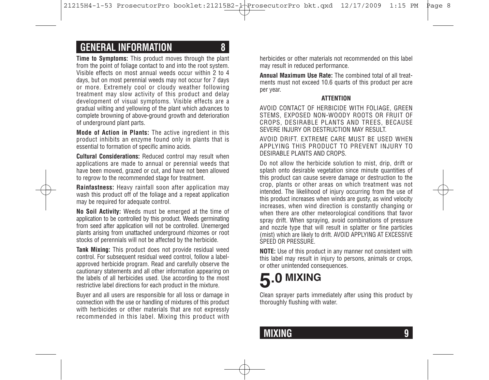## **GENERAL INFORMATION 8**

**Time to Symptoms:** This product moves through the plant from the point of foliage contact to and into the root system. Visible effects on most annual weeds occur within 2 to 4 days, but on most perennial weeds may not occur for 7 days or more. Extremely cool or cloudy weather following treatment may slow activity of this product and delay development of visual symptoms. Visible effects are a gradual wilting and yellowing of the plant which advances to complete browning of above-ground growth and deterioration of underground plant parts.

**Mode of Action in Plants:** The active ingredient in this product inhibits an enzyme found only in plants that is essential to formation of specific amino acids.

**Cultural Considerations:** Reduced control may result when applications are made to annual or perennial weeds that have been mowed, grazed or cut, and have not been allowed to regrow to the recommended stage for treatment.

**Rainfastness:** Heavy rainfall soon after application may wash this product off of the foliage and a repeat application may be required for adequate control.

**No Soil Activity:** Weeds must be emerged at the time of application to be controlled by this product. Weeds germinating from seed after application will not be controlled. Unemerged plants arising from unattached underground rhizomes or root stocks of perennials will not be affected by the herbicide.

**Tank Mixing:** This product does not provide residual weed control. For subsequent residual weed control, follow a labelapproved herbicide program. Read and carefully observe the cautionary statements and all other information appearing on the labels of all herbicides used. Use according to the most restrictive label directions for each product in the mixture.

Buyer and all users are responsible for all loss or damage in connection with the use or handling of mixtures of this product with herbicides or other materials that are not expressly recommended in this label. Mixing this product with herbicides or other materials not recommended on this label may result in reduced performance.

**Annual Maximum Use Rate:** The combined total of all treatments must not exceed 10.6 quarts of this product per acre per year.

#### **ATTENTION**

AVOID CONTACT OF HERBICIDE WITH FOLIAGE, GREEN STEMS, EXPOSED NON-WOODY ROOTS OR FRUIT OF CROPS, DESIRABLE PLANTS AND TREES, BECAUSE SEVERE INJURY OR DESTRUCTION MAY RESULT.

AVOID DRIFT. EXTREME CARE MUST BE USED WHEN APPLYING THIS PRODUCT TO PREVENT INJURY TO DESIRABLE PLANTS AND CROPS.

Do not allow the herbicide solution to mist, drip, drift or splash onto desirable vegetation since minute quantities of this product can cause severe damage or destruction to the crop, plants or other areas on which treatment was not intended. The likelihood of injury occurring from the use of this product increases when winds are gusty, as wind velocity increases, when wind direction is constantly changing or when there are other meteorological conditions that favor spray drift. When spraying, avoid combinations of pressure and nozzle type that will result in splatter or fine particles (mist) which are likely to drift. AVOID APPLYING AT EXCESSIVE SPEED OR PRESSURE.

**NOTE:** Use of this product in any manner not consistent with this label may result in injury to persons, animals or crops, or other unintended consequences.

# **5.0 MIXING**

Clean sprayer parts immediately after using this product by thoroughly flushing with water.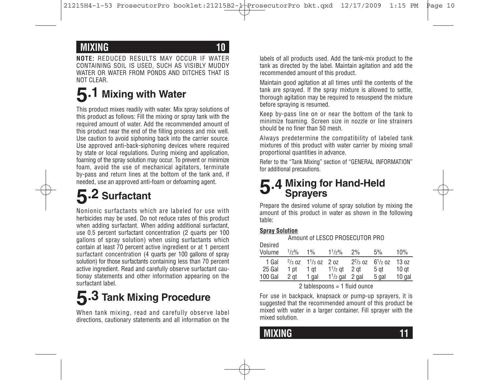## **MIXING 10**

**NOTE:** REDUCED RESULTS MAY OCCUR IF WATER CONTAINING SOIL IS USED, SUCH AS VISIBLY MUDDY WATER OR WATER FROM PONDS AND DITCHES THAT IS NOT CLEAR.

# **5.1 Mixing with Water**

This product mixes readily with water. Mix spray solutions of this product as follows: Fill the mixing or spray tank with the required amount of water. Add the recommended amount of this product near the end of the filling process and mix well. Use caution to avoid siphoning back into the carrier source. Use approved anti-back-siphoning devices where required by state or local regulations. During mixing and application, foaming of the spray solution may occur. To prevent or minimize foam, avoid the use of mechanical agitators, terminate by-pass and return lines at the bottom of the tank and, if needed, use an approved anti-foam or defoaming agent.

# **5.2 Surfactant**

Nonionic surfactants which are labeled for use with herbicides may be used. Do not reduce rates of this product when adding surfactant. When adding additional surfactant, use 0.5 percent surfactant concentration (2 quarts per 100 gallons of spray solution) when using surfactants which contain at least 70 percent active ingredient or at 1 percent surfactant concentration (4 quarts per 100 gallons of spray solution) for those surfactants containing less than 70 percent active ingredient. Read and carefully observe surfactant cautionay statements and other information appearing on the surfactant label.

# **5.3 Tank Mixing Procedure**

When tank mixing, read and carefully observe label directions, cautionary statements and all information on the

labels of all products used. Add the tank-mix product to the tank as directed by the label. Maintain agitation and add the recommended amount of this product.

Maintain good agitation at all times until the contents of the tank are sprayed. If the spray mixture is allowed to settle, thorough agitation may be required to resuspend the mixture before spraying is resumed.

Keep by-pass line on or near the bottom of the tank to minimize foaming. Screen size in nozzle or line strainers should be no finer than 50 mesh.

Always predetermine the compatibility of labeled tank mixtures of this product with water carrier by mixing small proportional quantities in advance.

Refer to the "Tank Mixing" section of "GENERAL INFORMATION" for additional precautions.

## **5.4 Mixing for Hand-Held Sprayers**

Prepare the desired volume of spray solution by mixing the amount of this product in water as shown in the following table:

### **Spray Solution**

| Amount of LESCO PROSECUTOR PRO |                |              |               |            |              |                  |
|--------------------------------|----------------|--------------|---------------|------------|--------------|------------------|
| Desired                        |                |              |               |            |              |                  |
| Volume                         | $1/2\%$        | $1\%$        | $1^{1/2}$ %   | 2%         | 5%           | 10%              |
| 1 Gal                          | $^{2}/_{3}$ OZ | $1^{1/3}$ 0Z | 2 oz          | $2^2/3$ oz | $6^{1/2}$ 0Z | 13 oz            |
| 25 Gal                         | 1 pt           | 1 at         | $1^{1/2}$ gt  | 2 at       | 5 at         | 10 <sub>at</sub> |
| 100 Gal                        | 2 at           | 1 gal        | $1^{1/2}$ gal | 2 gal      | 5 gal        | 10 gal           |
|                                |                |              |               |            |              |                  |

2 tablespoons = 1 fluid ounce

For use in backpack, knapsack or pump-up sprayers, it is suggested that the recommended amount of this product be mixed with water in a larger container. Fill sprayer with the mixed solution.

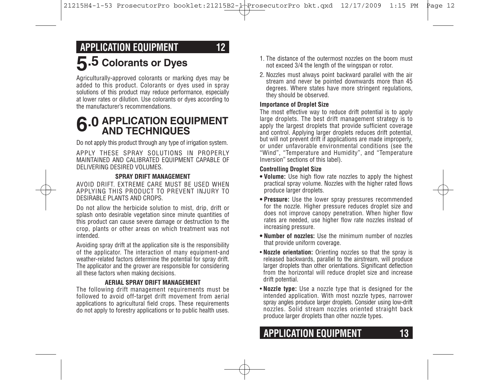# **5.5 Colorants or Dyes**

Agriculturally-approved colorants or marking dyes may be added to this product. Colorants or dyes used in spray solutions of this product may reduce performance, especially at lower rates or dilution. Use colorants or dyes according to the manufacturer's recommendations.

# **6.0 APPLICATION EQUIPMENT AND TECHNIQUES**

Do not apply this product through any type of irrigation system.

APPLY THESE SPRAY SOLUTIONS IN PROPERLY MAINTAINED AND CALIBRATED EQUIPMENT CAPABLE OF DELIVERING DESIRED VOLUMES.

### **SPRAY DRIFT MANAGEMENT**

AVOID DRIFT. EXTREME CARE MUST BE USED WHEN APPLYING THIS PRODUCT TO PREVENT INJURY TO DESIRABLE PLANTS AND CROPS.

Do not allow the herbicide solution to mist, drip, drift or splash onto desirable vegetation since minute quantities of this product can cause severe damage or destruction to the crop, plants or other areas on which treatment was not intended.

Avoiding spray drift at the application site is the responsibility of the applicator. The interaction of many equipment-and weather-related factors determine the potential for spray drift. The applicator and the grower are responsible for considering all these factors when making decisions.

### **AERIAL SPRAY DRIFT MANAGEMENT**

The following drift management requirements must be followed to avoid off-target drift movement from aerial applications to agricultural field crops. These requirements do not apply to forestry applications or to public health uses.

- 1. The distance of the outermost nozzles on the boom must not exceed 3/4 the length of the wingspan or rotor.
- 2. Nozzles must always point backward parallel with the air stream and never be pointed downwards more than 45 degrees. Where states have more stringent regulations, they should be observed.

### **Importance of Droplet Size**

The most effective way to reduce drift potential is to apply large droplets. The best drift management strategy is to apply the largest droplets that provide sufficient coverage and control. Applying larger droplets reduces drift potential, but will not prevent drift if applications are made improperly, or under unfavorable environmental conditions (see the "Wind", "Temperature and Humidity", and "Temperature Inversion" sections of this label).

### **Controlling Droplet Size**

- **Volume:** Use high flow rate nozzles to apply the highest practical spray volume. Nozzles with the higher rated flows produce larger droplets.
- **Pressure:** Use the lower spray pressures recommended for the nozzle. Higher pressure reduces droplet size and does not improve canopy penetration. When higher flow rates are needed, use higher flow rate nozzles instead of increasing pressure.
- **Number of nozzles:** Use the minimum number of nozzles that provide uniform coverage.
- **Nozzle orientation:** Orienting nozzles so that the spray is released backwards, parallel to the airstream, will produce larger droplets than other orientations. Significant deflection from the horizontal will reduce droplet size and increase drift potential.
- **Nozzle type:** Use a nozzle type that is designed for the intended application. With most nozzle types, narrower spray angles produce larger droplets. Consider using low-drift nozzles. Solid stream nozzles oriented straight back produce larger droplets than other nozzle types.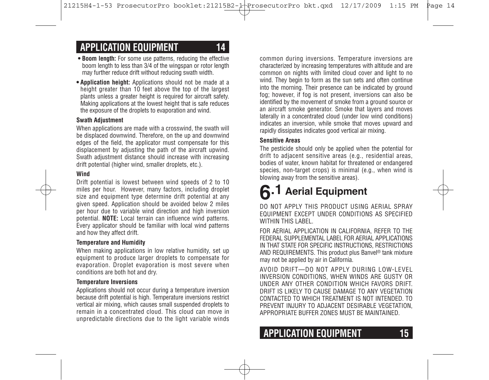- **Boom length:** For some use patterns, reducing the effective boom length to less than 3/4 of the wingspan or rotor length may further reduce drift without reducing swath width.
- **Application height:** Applications should not be made at a height greater than 10 feet above the top of the largest plants unless a greater height is required for aircraft safety. Making applications at the lowest height that is safe reduces the exposure of the droplets to evaporation and wind.

### **Swath Adjustment**

When applications are made with a crosswind, the swath will be displaced downwind. Therefore, on the up and downwind edges of the field, the applicator must compensate for this displacement by adjusting the path of the aircraft upwind. Swath adjustment distance should increase with increasing drift potential (higher wind, smaller droplets, etc.).

### **Wind**

Drift potential is lowest between wind speeds of 2 to 10 miles per hour. However, many factors, including droplet size and equipment type determine drift potential at any given speed. Application should be avoided below 2 miles per hour due to variable wind direction and high inversion potential. **NOTE:** Local terrain can influence wind patterns. Every applicator should be familiar with local wind patterns and how they affect drift.

#### **Temperature and Humidity**

When making applications in low relative humidity, set up equipment to produce larger droplets to compensate for evaporation. Droplet evaporation is most severe when conditions are both hot and dry.

### **Temperature Inversions**

Applications should not occur during a temperature inversion because drift potential is high. Temperature inversions restrict vertical air mixing, which causes small suspended droplets to remain in a concentrated cloud. This cloud can move in unpredictable directions due to the light variable winds

common during inversions. Temperature inversions are characterized by increasing temperatures with altitude and are common on nights with limited cloud cover and light to no wind. They begin to form as the sun sets and often continue into the morning. Their presence can be indicated by ground fog; however, if fog is not present, inversions can also be identified by the movement of smoke from a ground source or an aircraft smoke generator. Smoke that layers and moves laterally in a concentrated cloud (under low wind conditions) indicates an inversion, while smoke that moves upward and rapidly dissipates indicates good vertical air mixing.

#### **Sensitive Areas**

The pesticide should only be applied when the potential for drift to adjacent sensitive areas (e.g., residential areas, bodies of water, known habitat for threatened or endangered species, non-target crops) is minimal (e.g., when wind is blowing away from the sensitive areas).

# **6.1 Aerial Equipment**

DO NOT APPLY THIS PRODUCT USING AERIAL SPRAY EQUIPMENT EXCEPT UNDER CONDITIONS AS SPECIFIED WITHIN THIS LABEL.

FOR AERIAL APPLICATION IN CALIFORNIA, REFER TO THE FEDERAL SUPPLEMENTAL LABEL FOR AERIAL APPLICATIONS IN THAT STATE FOR SPECIFIC INSTRUCTIONS, RESTRICTIONS AND REQUIREMENTS. This product plus Banvel® tank mixture may not be applied by air in California.

AVOID DRIFT—DO NOT APPLY DURING LOW-LEVEL INVERSION CONDITIONS, WHEN WINDS ARE GUSTY OR UNDER ANY OTHER CONDITION WHICH FAVORS DRIFT. DRIFT IS LIKELY TO CAUSE DAMAGE TO ANY VEGETATION CONTACTED TO WHICH TREATMENT IS NOT INTENDED. TO PREVENT INJURY TO ADJACENT DESIRABLE VEGETATION, APPROPRIATE BUFFER ZONES MUST BE MAINTAINED.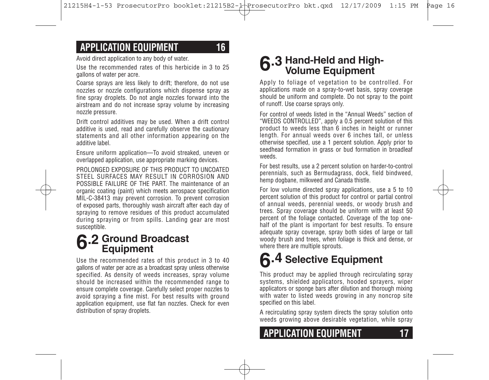Avoid direct application to any body of water.

Use the recommended rates of this herbicide in 3 to 25 gallons of water per acre.

Coarse sprays are less likely to drift; therefore, do not use nozzles or nozzle configurations which dispense spray as fine spray droplets. Do not angle nozzles forward into the airstream and do not increase spray volume by increasing nozzle pressure.

Drift control additives may be used. When a drift control additive is used, read and carefully observe the cautionary statements and all other information appearing on the additive label.

Ensure uniform application—To avoid streaked, uneven or overlapped application, use appropriate marking devices.

PROLONGED EXPOSURE OF THIS PRODUCT TO UNCOATED STEEL SURFACES MAY RESULT IN CORROSION AND POSSIBLE FAILURE OF THE PART. The maintenance of an organic coating (paint) which meets aerospace specification MIL-C-38413 may prevent corrosion. To prevent corrosion of exposed parts, thoroughly wash aircraft after each day of spraying to remove residues of this product accumulated during spraying or from spills. Landing gear are most susceptible.

## **6.2 Ground Broadcast Equipment**

Use the recommended rates of this product in 3 to 40 gallons of water per acre as a broadcast spray unless otherwise specified. As density of weeds increases, spray volume should be increased within the recommended range to ensure complete coverage. Carefully select proper nozzles to avoid spraying a fine mist. For best results with ground application equipment, use flat fan nozzles. Check for even distribution of spray droplets.

# **6.3 Hand-Held and High-Volume Equipment**

Apply to foliage of vegetation to be controlled. For applications made on a spray-to-wet basis, spray coverage should be uniform and complete. Do not spray to the point of runoff. Use coarse sprays only.

For control of weeds listed in the "Annual Weeds" section of "WEEDS CONTROLLED", apply a 0.5 percent solution of this product to weeds less than 6 inches in height or runner length. For annual weeds over 6 inches tall, or unless otherwise specified, use a 1 percent solution. Apply prior to seedhead formation in grass or bud formation in broadleaf weeds.

For best results, use a 2 percent solution on harder-to-control perennials, such as Bermudagrass, dock, field bindweed, hemp dogbane, milkweed and Canada thistle.

For low volume directed spray applications, use a 5 to 10 percent solution of this product for control or partial control of annual weeds, perennial weeds, or woody brush and trees. Spray coverage should be uniform with at least 50 percent of the foliage contacted. Coverage of the top onehalf of the plant is important for best results. To ensure adequate spray coverage, spray both sides of large or tall woody brush and trees, when foliage is thick and dense, or where there are multiple sprouts.

# **6.4 Selective Equipment**

This product may be applied through recirculating spray systems, shielded applicators, hooded sprayers, wiper applicators or sponge bars after dilution and thorough mixing with water to listed weeds growing in any noncrop site specified on this label.

A recirculating spray system directs the spray solution onto weeds growing above desirable vegetation, while spray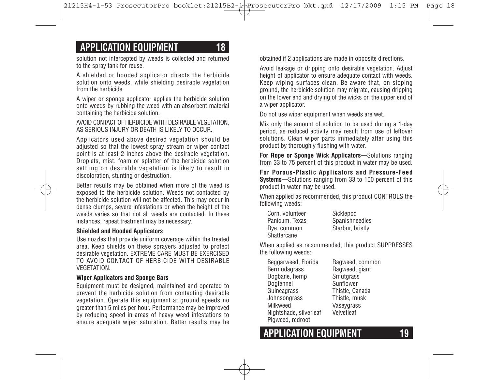solution not intercepted by weeds is collected and returned to the spray tank for reuse.

A shielded or hooded applicator directs the herbicide solution onto weeds, while shielding desirable vegetation from the herbicide.

A wiper or sponge applicator applies the herbicide solution onto weeds by rubbing the weed with an absorbent material containing the herbicide solution.

AVOID CONTACT OF HERBICIDE WITH DESIRABLE VEGETATION, AS SERIOUS INJURY OR DEATH IS LIKELY TO OCCUR.

Applicators used above desired vegetation should be adjusted so that the lowest spray stream or wiper contact point is at least 2 inches above the desirable vegetation. Droplets, mist, foam or splatter of the herbicide solution settling on desirable vegetation is likely to result in discoloration, stunting or destruction.

Better results may be obtained when more of the weed is exposed to the herbicide solution. Weeds not contacted by the herbicide solution will not be affected. This may occur in dense clumps, severe infestations or when the height of the weeds varies so that not all weeds are contacted. In these instances, repeat treatment may be necessary.

#### **Shielded and Hooded Applicators**

Use nozzles that provide uniform coverage within the treated area. Keep shields on these sprayers adjusted to protect desirable vegetation. EXTREME CARE MUST BE EXERCISED TO AVOID CONTACT OF HERBICIDE WITH DESIRABLE VEGETATION.

### **Wiper Applicators and Sponge Bars**

Equipment must be designed, maintained and operated to prevent the herbicide solution from contacting desirable vegetation. Operate this equipment at ground speeds no greater than 5 miles per hour. Performance may be improved by reducing speed in areas of heavy weed infestations to ensure adequate wiper saturation. Better results may be

obtained if 2 applications are made in opposite directions.

Avoid leakage or dripping onto desirable vegetation. Adjust height of applicator to ensure adequate contact with weeds. Keep wiping surfaces clean. Be aware that, on sloping ground, the herbicide solution may migrate, causing dripping on the lower end and drying of the wicks on the upper end of a wiper applicator.

Do not use wiper equipment when weeds are wet.

Mix only the amount of solution to be used during a 1-day period, as reduced activity may result from use of leftover solutions. Clean wiper parts immediately after using this product by thoroughly flushing with water.

**For Rope or Sponge Wick Applicators**—Solutions ranging from 33 to 75 percent of this product in water may be used.

**For Porous-Plastic Applicators and Pressure-Feed Systems**—Solutions ranging from 33 to 100 percent of this product in water may be used.

When applied as recommended, this product CONTROLS the following weeds:

Corn, volunteer Sicklepod Panicum, Texas Spanishneedles<br>Rye, common Starbur, bristly **Shattercane** 

Starbur, bristly

When applied as recommended, this product SUPPRESSES the following weeds:

Bermudagrass Ragweed, giant<br>Dogbane, hemp Smutgrass Dogbane, hemp Dogfennel Sunflower Guineagrass Thistle, Canada<br>Johnsongrass Thistle, musk **Johnsongrass** Milkweed Vaseygrass Nightshade, silverleaf Velvetleaf Pigweed, redroot

Beggarweed, Florida Ragweed, common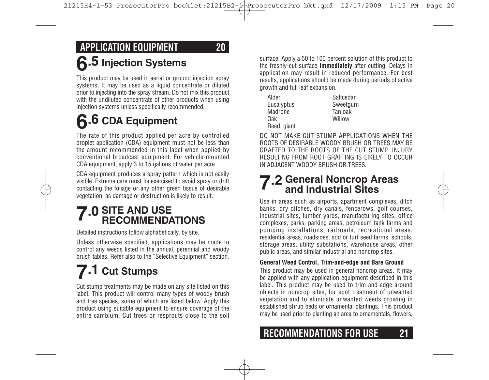# **6.5 Injection Systems**

This product may be used in aerial or ground injection spray systems. It may be used as a liquid concentrate or diluted prior to injecting into the spray stream. Do not mix this product with the undiluted concentrate of other products when using injection systems unless specifically recommended.

# **6.6 CDA Equipment**

The rate of this product applied per acre by controlled droplet application (CDA) equipment must not be less than the amount recommended in this label when applied by conventional broadcast equipment. For vehicle-mounted CDA equipment, apply 3 to 15 gallons of water per acre.

CDA equipment produces a spray pattern which is not easily visible. Extreme care must be exercised to avoid spray or drift contacting the foliage or any other green tissue of desirable vegetation, as damage or destruction is likely to result.

# **7.0 SITE AND USE RECOMMENDATIONS**

Detailed instructions follow alphabetically, by site.

Unless otherwise specified, applications may be made to control any weeds listed in the annual, perennial and woody brush tables. Refer also to the "Selective Equipment" section.

# **7.1 Cut Stumps**

Cut stump treatments may be made on any site listed on this label. This product will control many types of woody brush and tree species, some of which are listed below. Apply this product using suitable equipment to ensure coverage of the entire cambium. Cut trees or resprouts close to the soil surface. Apply a 50 to 100 percent solution of this product to the freshly-cut surface **immediately** after cutting. Delays in application may result in reduced performance. For best results, applications should be made during periods of active growth and full leaf expansion.

| Alder       | Saltcedar |
|-------------|-----------|
| Eucalyptus  | Sweetgum  |
| Madrone     | Tan oak   |
| 0ak         | Willow    |
| Reed, giant |           |

DO NOT MAKE CUT STUMP APPLICATIONS WHEN THE ROOTS OF DESIRABLE WOODY BRUSH OR TREES MAY BE GRAFTED TO THE ROOTS OF THE CUT STUMP. INJURY RESULTING FROM ROOT GRAFTING IS LIKELY TO OCCUR IN ADJACENT WOODY BRUSH OR TREES.

# **7.2 General Noncrop Areas and Industrial Sites**

Use in areas such as airports, apartment complexes, ditch banks, dry ditches, dry canals, fencerows, golf courses, industrial sites, lumber yards, manufacturing sites, office complexes, parks, parking areas, petroleum tank farms and pumping installations, railroads, recreational areas, residential areas, roadsides, sod or turf seed farms, schools, storage areas, utility substations, warehouse areas, other public areas, and similar industrial and noncrop sites.

### **General Weed Control, Trim-and-edge and Bare Ground**

This product may be used in general noncrop areas. It may be applied with any application equipment described in this label. This product may be used to trim-and-edge around objects in noncrop sites, for spot treatment of unwanted vegetation and to eliminate unwanted weeds growing in established shrub beds or ornamental plantings. This product may be used prior to planting an area to ornamentals, flowers,

# **RECOMMENDATIONS FOR USE 21**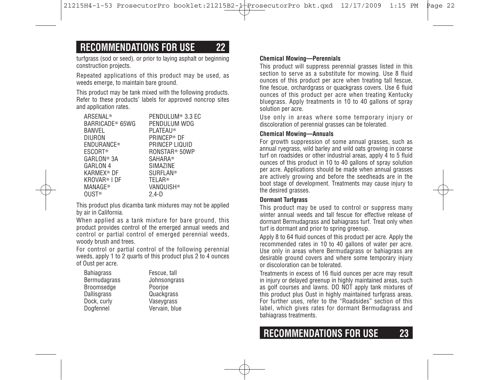turfgrass (sod or seed), or prior to laying asphalt or beginning construction projects.

Repeated applications of this product may be used, as weeds emerge, to maintain bare ground.

This product may be tank mixed with the following products. Refer to these products' labels for approved noncrop sites and application rates.

| <b>ARSENAL®</b>   | PENDULUM <sup>®</sup> 3.3 EC |
|-------------------|------------------------------|
| BARRICADE® 65WG   | PENDULUM WDG                 |
| BANVEL            | <b>PLATEAU®</b>              |
| DIURON            | PRINCEP <sup>®</sup> DF      |
| <b>ENDURANCE®</b> | PRINCEP LIQUID               |
| <b>ESCORT®</b>    | RONSTAR <sup>®</sup> 50WP    |
| GARLON® 3A        | <b>SAHARA®</b>               |
| GARLON 4          | <b>SIMAZINE</b>              |
| <b>KARMEX® DF</b> | <b>SURFLAN®</b>              |
| KROVAR® I DF      | <b>TELAR®</b>                |
| MANAGE®           | <b>VANQUISH®</b>             |
| OUST <sup>®</sup> | $2.4-D$                      |

This product plus dicamba tank mixtures may not be applied by air in California.

When applied as a tank mixture for bare ground, this product provides control of the emerged annual weeds and control or partial control of emerged perennial weeds, woody brush and trees.

For control or partial control of the following perennial weeds, apply 1 to 2 quarts of this product plus 2 to 4 ounces of Oust per acre.

| Bahiagrass   | Fescue, tall  |
|--------------|---------------|
| Bermudagrass | Johnsongrass  |
| Broomsedge   | Poorioe       |
| Dallisgrass  | Quackgrass    |
| Dock, curly  | Vaseygrass    |
| Dogfennel    | Vervain, blue |
|              |               |

### **Chemical Mowing—Perennials**

This product will suppress perennial grasses listed in this section to serve as a substitute for mowing. Use 8 fluid ounces of this product per acre when treating tall fescue, fine fescue, orchardgrass or quackgrass covers. Use 6 fluid ounces of this product per acre when treating Kentucky bluegrass. Apply treatments in 10 to 40 gallons of spray solution per acre.

Use only in areas where some temporary injury or discoloration of perennial grasses can be tolerated.

### **Chemical Mowing—Annuals**

For growth suppression of some annual grasses, such as annual ryegrass, wild barley and wild oats growing in coarse turf on roadsides or other industrial areas, apply 4 to 5 fluid ounces of this product in 10 to 40 gallons of spray solution per acre. Applications should be made when annual grasses are actively growing and before the seedheads are in the boot stage of development. Treatments may cause injury to the desired grasses.

### **Dormant Turfgrass**

This product may be used to control or suppress many winter annual weeds and tall fescue for effective release of dormant Bermudagrass and bahiagrass turf. Treat only when turf is dormant and prior to spring greenup.

Apply 8 to 64 fluid ounces of this product per acre. Apply the recommended rates in 10 to 40 gallons of water per acre. Use only in areas where Bermudagrass or bahiagrass are desirable ground covers and where some temporary injury or discoloration can be tolerated.

Treatments in excess of 16 fluid ounces per acre may result in injury or delayed greenup in highly maintained areas, such as golf courses and lawns. DO NOT apply tank mixtures of this product plus Oust in highly maintained turfgrass areas. For further uses, refer to the "Roadsides" section of this label, which gives rates for dormant Bermudagrass and bahia grass treatments.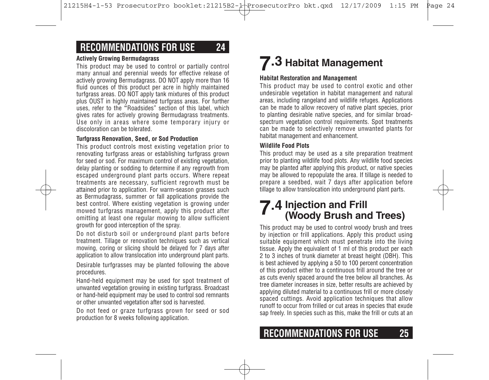### **Actively Growing Bermudagrass**

This product may be used to control or partially control many annual and perennial weeds for effective release of actively growing Bermudagrass. DO NOT apply more than 16 fluid ounces of this product per acre in highly maintained turfgrass areas. DO NOT apply tank mixtures of this product plus OUST in highly maintained turfgrass areas. For further uses, refer to the **"**Roadsides" section of this label, which gives rates for actively growing Bermudagrass treatments. Use only in areas where some temporary injury or dis coloration can be tolerated.

#### **Turfgrass Renovation, Seed, or Sod Production**

This product controls most existing vegetation prior to renovating turfgrass areas or establishing turfgrass grown for seed or sod. For maximum control of existing vegetation, delay planting or sodding to determine if any regrowth from escaped underground plant parts occurs. Where repeat treatments are necessary, sufficient regrowth must be attained prior to application. For warm-season grasses such as Bermudagrass, summer or fall applications provide the best control. Where existing vegetation is growing under mowed turfgrass management, apply this product after omitting at least one regular mowing to allow sufficient growth for good interception of the spray.

Do not disturb soil or underground plant parts before treatment. Tillage or renovation techniques such as vertical mowing, coring or slicing should be delayed for 7 days after application to allow translocation into underground plant parts.

Desirable turfgrasses may be planted following the above procedures.

Hand-held equipment may be used for spot treatment of unwanted vegetation growing in existing turfgrass. Broadcast or hand-held equipment may be used to control sod remnants or other unwanted vegetation after sod is harvested.

Do not feed or graze turfgrass grown for seed or sod production for 8 weeks following application.

# **7.3 Habitat Management**

### **Habitat Restoration and Management**

This product may be used to control exotic and other un desirable vegetation in habitat management and natural areas, including rangeland and wildlife refuges. Applications can be made to allow recovery of native plant species, prior to planting desirable native species, and for similar broadspectrum vegetation control requirements. Spot treatments can be made to selectively remove unwanted plants for habitat management and enhancement.

### **Wildlife Food Plots**

This product may be used as a site preparation treatment prior to planting wildlife food plots. Any wildlife food species may be planted after applying this product, or native species may be allowed to repopulate the area. If tillage is needed to prepare a seedbed, wait 7 days after application before tillage to allow translocation into underground plant parts.

## **7.4 Injection and Frill (Woody Brush and Trees)**

This product may be used to control woody brush and trees by injection or frill applications. Apply this product using suitable equipment which must penetrate into the living tissue. Apply the equivalent of 1 ml of this product per each 2 to 3 inches of trunk diameter at breast height (DBH). This is best achieved by applying a 50 to 100 percent concentration of this product either to a continuous frill around the tree or as cuts evenly spaced around the tree below all branches. As tree diameter increases in size, better results are achieved by applying diluted material to a continuous frill or more closely spaced cuttings. Avoid application techniques that allow runoff to occur from frilled or cut areas in species that exude sap freely. In species such as this, make the frill or cuts at an

## **RECOMMENDATIONS FOR USE 25**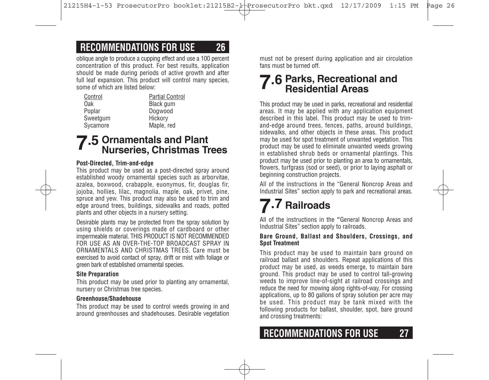oblique angle to produce a cupping effect and use a 100 percent concentration of this product. For best results, application should be made during periods of active growth and after full leaf expansion. This product will control many species, some of which are listed below:

| Control  | <b>Partial Control</b> |
|----------|------------------------|
| 0ak      | Black gum              |
| Poplar   | Dogwood                |
| Sweetgum | Hickorv                |
| Sycamore | Maple, red             |

# **7.5 Ornamentals and Plant Nurseries, Christmas Trees**

### **Post-Directed, Trim-and-edge**

This product may be used as a post-directed spray around established woody ornamental species such as arborvitae, azalea, boxwood, crabapple, euonymus, fir, douglas fir, jojoba, hollies, lilac, magnolia, maple, oak, privet, pine, spruce and yew. This product may also be used to trim and edge around trees, buildings, sidewalks and roads, potted plants and other objects in a nursery setting.

Desirable plants may be protected from the spray solution by using shields or coverings made of cardboard or other impermeable material. THIS PRODUCT IS NOT RECOMMENDED FOR USE AS AN OVER-THE-TOP BROADCAST SPRAY IN ORNAMENTALS AND CHRISTMAS TREES. Care must be exercised to avoid contact of spray, drift or mist with foliage or green bark of established ornamental species.

#### **Site Preparation**

This product may be used prior to planting any ornamental, nursery or Christmas tree species.

### **Greenhouse/Shadehouse**

This product may be used to control weeds growing in and around greenhouses and shadehouses. Desirable vegetation must not be present during application and air circulation fans must be turned off.

# **7.6 Parks, Recreational and Residential Areas**

This product may be used in parks, recreational and residential areas. It may be applied with any application equipment described in this label. This product may be used to trimand-edge around trees, fences, paths, around buildings, sidewalks, and other objects in these areas. This product may be used for spot treatment of unwanted vegetation. This product may be used to eliminate unwanted weeds growing in established shrub beds or ornamental plantings. This product may be used prior to planting an area to ornamentals, flowers, turfgrass (sod or seed), or prior to laying asphalt or beginning construction projects.

All of the instructions in the "General Noncrop Areas and Industrial Sites" section apply to park and recreational areas.

# **7.7 Railroads**

All of the instructions in the **"**General Noncrop Areas and Industrial Sites" section apply to railroads.

### **Bare Ground, Ballast and Shoulders, Crossings, and Spot Treatment**

This product may be used to maintain bare ground on railroad ballast and shoulders. Repeat applications of this product may be used, as weeds emerge, to maintain bare ground. This product may be used to control tall-growing weeds to improve line-of-sight at railroad crossings and reduce the need for mowing along rights-of-way. For crossing applications, up to 80 gallons of spray solution per acre may be used. This product may be tank mixed with the following products for ballast, shoulder, spot, bare ground and crossing treatments:

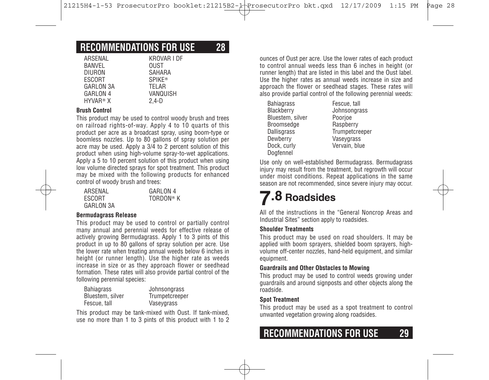| ARSENAL          | <b>KROVAR I DF</b> |
|------------------|--------------------|
| BANVEL           | <b>OUST</b>        |
| DIURON           | SAHARA             |
| ESCORT           | <b>SPIKE®</b>      |
| <b>GARLON 3A</b> | TFI AR             |
| GARLON 4         | VANQUISH           |
| HYVAR@X          | $2.4-D$            |

### **Brush Control**

This product may be used to control woody brush and trees on railroad rights-of-way. Apply 4 to 10 quarts of this product per acre as a broadcast spray, using boom-type or boomless nozzles. Up to 80 gallons of spray solution per acre may be used. Apply a 3/4 to 2 percent solution of this product when using high-volume spray-to-wet applications. Apply a 5 to 10 percent solution of this product when using low volume directed sprays for spot treatment. This product may be mixed with the following products for enhanced control of woody brush and trees:

| ARSENAL   | GARLON 4              |
|-----------|-----------------------|
| ESCORT    | TORDON <sup>®</sup> K |
| GARLON 3A |                       |

### **Bermudagrass Release**

This product may be used to control or partially control many annual and perennial weeds for effective release of actively growing Bermudagrass. Apply 1 to 3 pints of this product in up to 80 gallons of spray solution per acre. Use the lower rate when treating annual weeds below 6 inches in height (or runner length). Use the higher rate as weeds increase in size or as they approach flower or seedhead formation. These rates will also provide partial control of the following perennial species:

| Bahiagrass       | Johnsongrass   |
|------------------|----------------|
| Bluestem, silver | Trumpetcreeper |
| Fescue, tall     | Vaseygrass     |

This product may be tank-mixed with Oust. If tank-mixed, use no more than 1 to 3 pints of this product with 1 to 2 ounces of Oust per acre. Use the lower rates of each product to control annual weeds less than 6 inches in height (or runner length) that are listed in this label and the Oust label. Use the higher rates as annual weeds increase in size and approach the flower or seedhead stages. These rates will also provide partial control of the following perennial weeds:

Fescue, tall **Johnsongrass** Poorioe Raspberry Trumpetcreeper Vaseygrass Vervain, blue

Use only on well-established Bermudagrass. Bermudagrass injury may result from the treatment, but regrowth will occur under moist conditions. Repeat applications in the same season are not recommended, since severe injury may occur.

# **7.8 Roadsides**

All of the instructions in the "General Noncrop Areas and Industrial Sites" section apply to roadsides.

### **Shoulder Treatments**

This product may be used on road shoulders. It may be applied with boom sprayers, shielded boom sprayers, highvolume off-center nozzles, hand-held equipment, and similar equipment.

### **Guardrails and Other Obstacles to Mowing**

This product may be used to control weeds growing under guardrails and around signposts and other objects along the roadside.

### **Spot Treatment**

This product may be used as a spot treatment to control unwanted vegetation growing along roadsides.

**RECOMMENDATIONS FOR USE 29**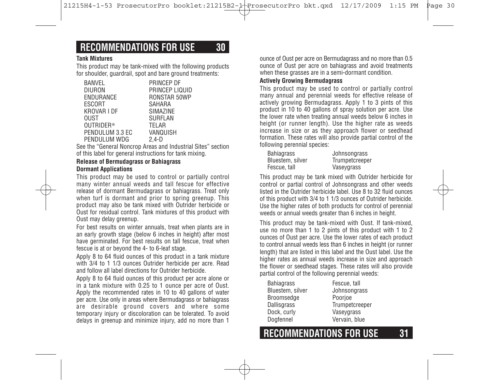### **Tank Mixtures**

This product may be tank-mixed with the following products for shoulder, guardrail, spot and bare ground treatments:

| BANVEL                | PRINCEP DF          |
|-----------------------|---------------------|
| <b>DIURON</b>         | PRINCEP LIQUID      |
| ENDURANCE             | <b>RONSTAR 50WP</b> |
| <b>ESCORT</b>         | SAHARA              |
| <b>KROVAR I DF</b>    | SIMAZINE            |
| <b>OUST</b>           | <b>SURFLAN</b>      |
| OUTRIDER <sup>®</sup> | TELAR               |
| PENDULUM 3.3 EC       | VANQUISH            |
| PENDULUM WDG          | $2.4-D$             |
|                       |                     |

See the "General Noncrop Areas and Industrial Sites" section of this label for general instructions for tank mixing.

#### **Release of Bermudagrass or Bahiagrass Dormant Applications**

This product may be used to control or partially control many winter annual weeds and tall fescue for effective release of dormant Bermudagrass or bahiagrass. Treat only when turf is dormant and prior to spring greenup. This product may also be tank mixed with Outrider herbicide or Oust for residual control. Tank mixtures of this product with Oust may delay greenup.

For best results on winter annuals, treat when plants are in an early growth stage (below 6 inches in height) after most have germinated. For best results on tall fescue, treat when fescue is at or beyond the 4- to 6-leaf stage.

Apply 8 to 64 fluid ounces of this product in a tank mixture with 3/4 to 1 1/3 ounces Outrider herbicide per acre. Read and follow all label directions for Outrider herbicide.

Apply 8 to 64 fluid ounces of this product per acre alone or in a tank mixture with 0.25 to 1 ounce per acre of Oust. Apply the recommended rates in 10 to 40 gallons of water per acre. Use only in areas where Bermudagrass or bahiagrass are desirable ground covers and where some temporary injury or discoloration can be tolerated. To avoid delays in greenup and minimize injury, add no more than 1

ounce of Oust per acre on Bermudagrass and no more than 0.5 ounce of Oust per acre on bahiagrass and avoid treatments when these grasses are in a semi-dormant condition.

### **Actively Growing Bermudagrass**

This product may be used to control or partially control many annual and perennial weeds for effective release of actively growing Bermudagrass. Apply 1 to 3 pints of this product in 10 to 40 gallons of spray solution per acre. Use the lower rate when treating annual weeds below 6 inches in height (or runner length). Use the higher rate as weeds increase in size or as they approach flower or seedhead formation. These rates will also provide partial control of the following perennial species:

| Bahiagrass       | Johnsongrass   |
|------------------|----------------|
| Bluestem, silver | Trumpetcreeper |
| Fescue, tall     | Vaseygrass     |

This product may be tank mixed with Outrider herbicide for control or partial control of Johnsongrass and other weeds listed in the Outrider herbicide label. Use 8 to 32 fluid ounces of this product with 3/4 to 1 1/3 ounces of Outrider herbicide. Use the higher rates of both products for control of perennial weeds or annual weeds greater than 6 inches in height.

This product may be tank-mixed with Oust. If tank-mixed, use no more than 1 to 2 pints of this product with 1 to 2 ounces of Oust per acre. Use the lower rates of each product to control annual weeds less than 6 inches in height (or runner length) that are listed in this label and the Oust label. Use the higher rates as annual weeds increase in size and approach the flower or seedhead stages. These rates will also provide partial control of the following perennial weeds:

| Bahiagrass       | Fescue, tall   |
|------------------|----------------|
| Bluestem, silver | Johnsongrass   |
| Broomsedae       | Poorioe        |
| Dallisgrass      | Trumpetcreeper |
| Dock. curly      | Vaseygrass     |
| Dogfennel        | Vervain, blue  |
|                  |                |

## **RECOMMENDATIONS FOR USE 31**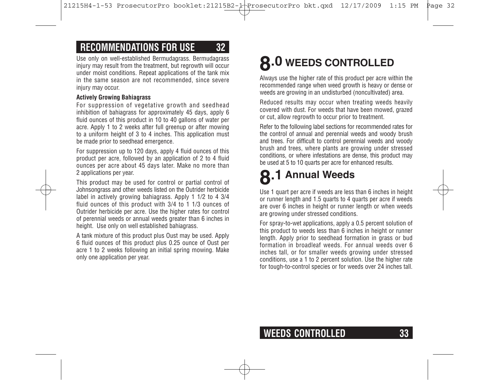Use only on well-established Bermudagrass. Bermudagrass injury may result from the treatment, but regrowth will occur under moist conditions. Repeat applications of the tank mix in the same season are not recommended, since severe injury may occur.

### **Actively Growing Bahiagrass**

For suppression of vegetative growth and seedhead inhibition of bahiagrass for approximately 45 days, apply 6 fluid ounces of this product in 10 to 40 gallons of water per acre. Apply 1 to 2 weeks after full greenup or after mowing to a uniform height of 3 to 4 inches. This application must be made prior to seedhead emergence.

For suppression up to 120 days, apply 4 fluid ounces of this product per acre, followed by an application of 2 to 4 fluid ounces per acre about 45 days later. Make no more than 2 applications per year.

This product may be used for control or partial control of Johnsongrass and other weeds listed on the Outrider herbicide label in actively growing bahiagrass. Apply 1 1/2 to 4 3/4 fluid ounces of this product with 3/4 to 1 1/3 ounces of Outrider herbicide per acre. Use the higher rates for control of perennial weeds or annual weeds greater than 6 inches in height. Use only on well established bahiagrass.

A tank mixture of this product plus Oust may be used. Apply 6 fluid ounces of this product plus 0.25 ounce of Oust per acre 1 to 2 weeks following an initial spring mowing. Make only one application per year.

# **8.0 WEEDS CONTROLLED**

Always use the higher rate of this product per acre within the recommended range when weed growth is heavy or dense or weeds are growing in an undisturbed (noncultivated) area.

Reduced results may occur when treating weeds heavily covered with dust. For weeds that have been mowed, grazed or cut, allow regrowth to occur prior to treatment.

Refer to the following label sections for recommended rates for the control of annual and perennial weeds and woody brush and trees. For difficult to control perennial weeds and woody brush and trees, where plants are growing under stressed conditions, or where infestations are dense, this product may be used at 5 to 10 quarts per acre for enhanced results.

# **8.1 Annual Weeds**

Use 1 quart per acre if weeds are less than 6 inches in height or runner length and 1.5 quarts to 4 quarts per acre if weeds are over 6 inches in height or runner length or when weeds are growing under stressed conditions.

For spray-to-wet applications, apply a 0.5 percent solution of this product to weeds less than 6 inches in height or runner length. Apply prior to seedhead formation in grass or bud formation in broadleaf weeds. For annual weeds over 6 inches tall, or for smaller weeds growing under stressed conditions, use a 1 to 2 percent solution. Use the higher rate for tough-to-control species or for weeds over 24 inches tall.

**WEEDS CONTROLLED 33**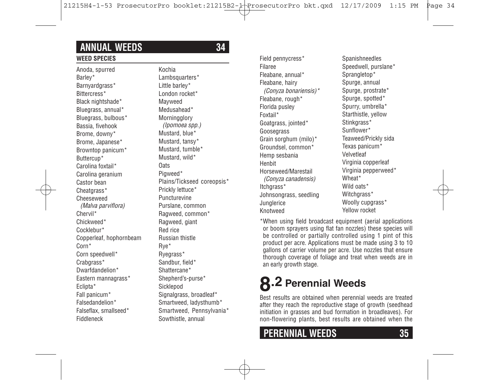# **ANNUAL WEEDS 34**

### **WEED SPECIES**

Anoda, spurred Barley\* Barnyardgrass\* Bittercress\* Black nightshade\* Bluegrass, annual\* Bluegrass, bulbous\* Bassia, fivehook Brome, downy\* Brome, Japanese\* Browntop panicum\* Buttercup\* Carolina foxtail\* Carolina geranium Castor bean Cheatgrass\* Cheeseweed (Malva parviflora) Chervil\* Chickweed\* Cocklebur\* Copperleaf, hophornbeam Corn\* Corn speedwell\* Crabgrass\* Dwarfdandelion\* Eastern mannagrass\* Eclipta\* Fall panicum\* Falsedandelion\* Falseflax, smallseed\* Fiddleneck

Kochia Lambsquarters\* Little barley\* London rocket\* Mayweed Medusahead\* Morningglory (Ipomoea spp.) Mustard, blue\* Mustard, tansy\* Mustard, tumble\* Mustard, wild\* Oats Pigweed\* Plains/Tickseed coreopsis\* Prickly lettuce\* Puncturevine Purslane, common Ragweed, common\* Ragweed, giant Red rice Russian thistle Rye\* Ryegrass\* Sandbur, field\* Shattercane\* Shepherd's-purse\* Sicklepod Signalgrass, broadleaf\* Smartweed, ladysthumb\* Smartweed, Pennsylvania\* Sowthistle, annual

Field pennycress\* Filaree Fleabane, annual\* Fleabane, hairy (Conyza bonariensis)\* Fleabane, rough\* Florida pusley Foxtail\* Goatgrass, jointed\* Goosegrass Grain sorghum (milo)\* Groundsel, common\* Hemp sesbania Henbit Horseweed/Marestail (Conyza canadensis) Itchgrass\* Johnsongrass, seedling Junglerice Knotweed

Spanishneedles Speedwell, purslane\* Sprangletop\* Spurge, annual Spurge, prostrate\* Spurge, spotted\* Spurry, umbrella\* Starthistle, yellow Stinkgrass\* Sunflower\* Teaweed/Prickly sida Texas panicum\* Velvetleaf Virginia copperleaf Virginia pepperweed\* Wheat\* Wild oats\* Witchgrass\* Woolly cupgrass\* Yellow rocket

\*When using field broadcast equipment (aerial applications or boom sprayers using flat fan nozzles) these species will be controlled or partially controlled using 1 pint of this product per acre. Applications must be made using 3 to 10 gallons of carrier volume per acre. Use nozzles that ensure thorough coverage of foliage and treat when weeds are in an early growth stage.

# **8.2 Perennial Weeds**

Best results are obtained when perennial weeds are treated after they reach the reproductive stage of growth (seedhead initiation in grasses and bud formation in broadleaves). For non-flowering plants, best results are obtained when the

# **PERENNIAL WEEDS 35**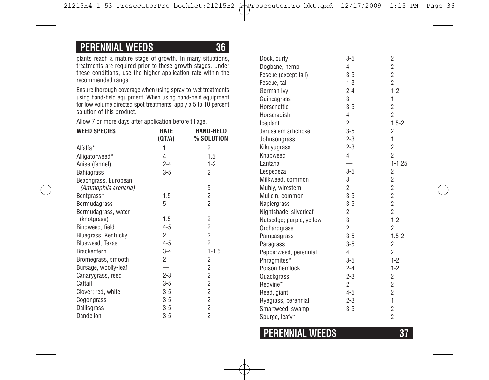# **PERENNIAL WEEDS** 36

plants reach a mature stage of growth. In many situations, treatments are required prior to these growth stages. Under these conditions, use the higher application rate within the recommended range.

Ensure thorough coverage when using spray-to-wet treatments using hand-held equipment. When using hand-held equipment for low volume directed spot treatments, apply a 5 to 10 percent solution of this product.

Allow 7 or more days after application before tillage.

| <b>WEED SPECIES</b>                          | RATE<br>(QT/A) | HAND-HELD<br>% SOLUTION |
|----------------------------------------------|----------------|-------------------------|
| Alfalfa*                                     | 1              | 2                       |
| Alligatorweed*                               | 4              | 1.5                     |
| Anise (fennel)                               | $2 - 4$        | $1-2$                   |
| <b>Bahiagrass</b>                            | $3 - 5$        | 2                       |
| Beachgrass, European<br>(Ammophila arenaria) |                | 5                       |
| Bentgrass*                                   | 1.5            | 2                       |
| Bermudagrass                                 | 5              | 2                       |
| Bermudagrass, water<br>(knotgrass)           | 1.5            | 2                       |
| Bindweed, field                              | $4 - 5$        | $\overline{c}$          |
| Bluegrass, Kentucky                          | 2              | 2                       |
| Blueweed, Texas                              | $4 - 5$        | $\overline{2}$          |
| <b>Brackenfern</b>                           | $3 - 4$        | $1 - 1.5$               |
| Bromegrass, smooth                           | 2              | 2                       |
| Bursage, woolly-leaf                         |                | $\overline{2}$          |
| Canarygrass, reed                            | $2 - 3$        | 2                       |
| Cattail                                      | $3-5$          | $\overline{2}$          |
| Clover; red, white                           | $3-5$          | 2                       |
| Cogongrass                                   | $3-5$          | $\overline{2}$          |
| Dallisgrass                                  | $3 - 5$        | 2                       |
| Dandelion                                    | 3-5            | $\overline{2}$          |

| Dock, curly<br>Dogbane, hemp | $3 - 5$<br>4   | 2<br>$\overline{c}$     |
|------------------------------|----------------|-------------------------|
| Fescue (except tall)         | $3 - 5$        | $\overline{c}$          |
| Fescue, tall                 | $1 - 3$        | $\overline{c}$          |
| German ivv                   | $2 - 4$        | $1 - 2$                 |
| Guineagrass                  | 3              | 1                       |
| Horsenettle                  | $3 - 5$        | $\overline{2}$          |
| Horseradish                  | 4              | $\overline{2}$          |
| Iceplant                     | $\overline{2}$ | $1.5 - 2$               |
| Jerusalem artichoke          | $3 - 5$        | $\overline{c}$          |
| Johnsongrass                 | $2 - 3$        | $\mathbf{1}$            |
| Kikuyugrass                  | $2 - 3$        | $\overline{c}$          |
| Knapweed                     | 4              | $\overline{2}$          |
| Lantana                      |                | $1 - 1.25$              |
| Lespedeza                    | $3 - 5$        | $\overline{\mathbf{c}}$ |
| Milkweed, common             | 3              | $\overline{c}$          |
| Muhly, wirestem              | $\overline{2}$ | $\overline{c}$          |
| Mullein, common              | $3 - 5$        | $\overline{c}$          |
| Napiergrass                  | $3 - 5$        | $\overline{c}$          |
| Nightshade, silverleaf       | 2              | $\overline{2}$          |
| Nutsedge; purple, yellow     | 3              | $1 - 2$                 |
| Orchardgrass                 | 2              | 2                       |
| Pampasgrass                  | $3 - 5$        | $1.5 - 2$               |
| Paragrass                    | $3 - 5$        | $\overline{c}$          |
| Pepperweed, perennial        | 4              | $\overline{c}$          |
| Phragmites*                  | $3 - 5$        | $1 - 2$                 |
| Poison hemlock               | $2 - 4$        | $1 - 2$                 |
| Quackgrass                   | $2 - 3$        | $\overline{c}$          |
| Redvine*                     | $\overline{2}$ | $\overline{c}$          |
| Reed, giant                  | $4 - 5$        | $\overline{c}$          |
| Ryegrass, perennial          | $2 - 3$        | $\mathbf{1}$            |
| Smartweed, swamp             | $3 - 5$        | $\overline{2}$          |
| Spurge, leafy*               |                | $\overline{2}$          |

# **PERENNIAL WEEDS 37**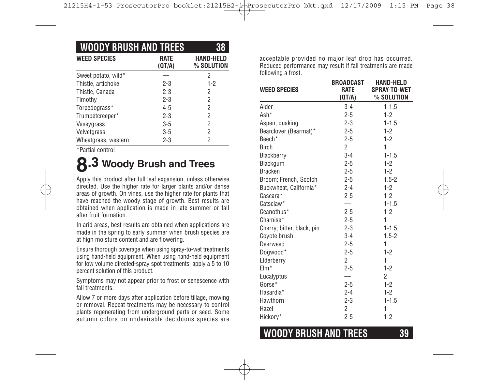| <b>WOODY BRUSH AND TREES</b> |                |                                |
|------------------------------|----------------|--------------------------------|
| <b>WEED SPECIES</b>          | RATE<br>(QT/A) | <b>HAND-HELD</b><br>% SOLUTION |
| Sweet potato, wild*          |                | 2                              |
| Thistle, artichoke           | $2 - 3$        | $1-2$                          |
| Thistle, Canada              | $2 - 3$        | 2                              |
| Timothy                      | $2 - 3$        | 2                              |
| Torpedograss*                | $4 - 5$        | 2                              |
| Trumpetcreeper*              | $2 - 3$        | 2                              |
| Vaseygrass                   | $3 - 5$        | 2                              |
| Velvetgrass                  | $3 - 5$        | 2                              |
| Wheatgrass, western          | $2 - 3$        | 2                              |

\*Partial control

# **8.3 Woody Brush and Trees**

Apply this product after full leaf expansion, unless otherwise directed. Use the higher rate for larger plants and/or dense areas of growth. On vines, use the higher rate for plants that have reached the woody stage of growth. Best results are obtained when application is made in late summer or fall after fruit formation.

In arid areas, best results are obtained when applications are made in the spring to early summer when brush species are at high moisture content and are flowering.

Ensure thorough coverage when using spray-to-wet treatments using hand-held equipment. When using hand-held equipment for low volume directed-spray spot treatments, apply a 5 to 10 percent solution of this product.

Symptoms may not appear prior to frost or senescence with fall treatments.

Allow 7 or more days after application before tillage, mowing or removal. Repeat treatments may be necessary to control plants regenerating from underground parts or seed. Some autumn colors on undesirable deciduous species are  acceptable provided no major leaf drop has occurred. Reduced performance may result if fall treatments are made following a frost.

| <b>WEED SPECIES</b>        | <b>BROADCAST</b><br><b>RATE</b><br>(QT/A) | HAND-HELD<br><b>SPRAY-TO-WET</b><br>% SOLUTION |
|----------------------------|-------------------------------------------|------------------------------------------------|
| Alder                      | $3 - 4$                                   | $1 - 1.5$                                      |
| Ash <sup>*</sup>           | $2 - 5$                                   | $1 - 2$                                        |
| Aspen, quaking             | $2 - 3$                                   | $1 - 1.5$                                      |
| Bearclover (Bearmat)*      | $2 - 5$                                   | $1 - 2$                                        |
| Beech*                     | $2 - 5$                                   | $1 - 2$                                        |
| <b>Birch</b>               | $\overline{2}$                            | 1                                              |
| Blackberry                 | $3 - 4$                                   | $1 - 1.5$                                      |
| Blackgum                   | $2 - 5$                                   | $1 - 2$                                        |
| <b>Bracken</b>             | $2 - 5$                                   | $1 - 2$                                        |
| Broom; French, Scotch      | $2 - 5$                                   | $1.5 - 2$                                      |
| Buckwheat, California*     | $2 - 4$                                   | $1 - 2$                                        |
| Cascara*                   | $2 - 5$                                   | $1 - 2$                                        |
| Catsclaw*                  |                                           | $1 - 1.5$                                      |
| Ceanothus*                 | $2 - 5$                                   | $1 - 2$                                        |
| Chamise*                   | $2 - 5$                                   | 1                                              |
| Cherry; bitter, black, pin | $2 - 3$                                   | $1 - 1.5$                                      |
| Coyote brush               | $3 - 4$                                   | $1.5 - 2$                                      |
| Deerweed                   | $2 - 5$                                   | 1                                              |
| Dogwood*                   | $2 - 5$                                   | $1 - 2$                                        |
| Elderberry                 | 2                                         | 1                                              |
| $EIm*$                     | $2 - 5$                                   | $1 - 2$                                        |
| Eucalyptus                 |                                           | 2                                              |
| Gorse*                     | $2 - 5$                                   | $1 - 2$                                        |
| Hasardia*                  | $2 - 4$                                   | $1 - 2$                                        |
| Hawthorn                   | $2 - 3$                                   | $1 - 1.5$                                      |
| Hazel                      | $\overline{c}$                            | 1                                              |
| Hickory*                   | $2 - 5$                                   | $1 - 2$                                        |

### **WOODY BRUSH AND TREES 39**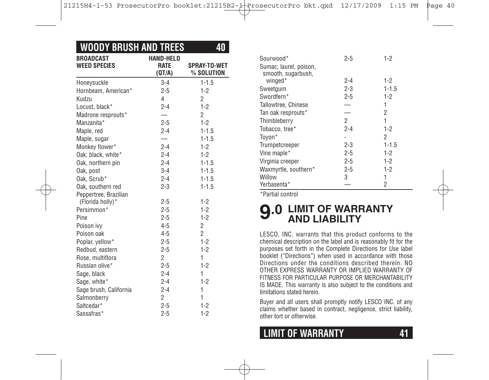| WOODY BRUSH AND<br>40<br><b>REES</b> |                  |                |
|--------------------------------------|------------------|----------------|
| <b>BROADCAST</b>                     | <b>HAND-HELD</b> |                |
| <b>WEED SPECIES</b>                  | <b>RATE</b>      | SPRAY-TO-WET   |
|                                      | (QT/A)           | % SOLUTION     |
| Honeysuckle                          | $3 - 4$          | $1 - 1.5$      |
| Hornbeam, American*                  | $2 - 5$          | $1 - 2$        |
| Kudzu                                | $\overline{4}$   | 2              |
| Locust, black*                       | $2 - 4$          | $1 - 2$        |
| Madrone resprouts*                   |                  | 2              |
| Manzanita*                           | $2 - 5$          | $1 - 2$        |
| Maple, red                           | $2 - 4$          | $1 - 1.5$      |
| Maple, sugar                         |                  | $1 - 1.5$      |
| Monkey flower*                       | $2 - 4$          | $1 - 2$        |
| Oak; black, white*                   | $2 - 4$          | $1 - 2$        |
| Oak, northern pin                    | $2 - 4$          | $1 - 1.5$      |
| Oak, post                            | $3 - 4$          | $1 - 1.5$      |
| Oak, Scrub*                          | $2 - 4$          | $1 - 1.5$      |
| Oak, southern red                    | $2 - 3$          | $1 - 1.5$      |
| Peppertree, Brazilian                |                  |                |
| (Florida holly)*                     | $2 - 5$          | $1 - 2$        |
| Persimmon*                           | $2 - 5$          | $1 - 2$        |
| Pine                                 | $2 - 5$          | $1 - 2$        |
| Poison ivy                           | $4 - 5$          | 2              |
| Poison oak                           | $4 - 5$          | $\overline{2}$ |
| Poplar, yellow*                      | $2 - 5$          | $1 - 2$        |
| Redbud, eastern                      | $2 - 5$          | $1 - 2$        |
| Rose, multiflora                     | 2                | 1              |
| Russian olive*                       | $2 - 5$          | $1 - 2$        |
| Sage, black                          | $2 - 4$          | 1              |
| Sage, white*                         | $2 - 4$          | $1 - 2$        |
| Sage brush, California               | $2 - 4$          | 1              |
| Salmonberry                          | 2                | 1              |
| Saltcedar*                           | $2 - 5$          | $1 - 2$        |
| Sassafras*                           | $2 - 5$          | $1 - 2$        |

| Sourwood*<br>Sumac; laurel, poison, | $2 - 5$ | $1-2$     |
|-------------------------------------|---------|-----------|
| smooth, sugarbush.<br>winged*       | $2 - 4$ | $1-2$     |
| Sweetgum                            | $2 - 3$ | $1 - 1.5$ |
| Swordfern*                          | $2 - 5$ | $1 - 2$   |
| Tallowtree, Chinese                 |         | 1         |
| Tan oak resprouts*                  |         | 2         |
| Thimbleberry                        | 2       |           |
| Tobacco, tree*                      | $2 - 4$ | $1 - 2$   |
| Toyon*                              |         | 2         |
| Trumpetcreeper                      | $2 - 3$ | $1 - 1.5$ |
| Vine maple*                         | $2 - 5$ | $1 - 2$   |
| Virginia creeper                    | $2 - 5$ | $1-2$     |
| Waxmyrtle, southern*                | $2 - 5$ | $1-2$     |
| Willow                              | 3       |           |
| Yerbasenta*                         |         | 2         |

\*Partial control

# **9.0 LIMIT OF WARRANTY AND LIABILITY**

LESCO, INC. warrants that this product conforms to the chemical description on the label and is reasonably fit for the purposes set forth in the Complete Directions for Use label booklet ("Directions") when used in accordance with those Directions under the conditions described therein. NO OTHER EXPRESS WARRANTY OR IMPLIED WARRANTY OF FITNESS FOR PARTICULAR PURPOSE OR MERCHANTABILITY IS MADE. This warranty is also subject to the conditions and limitations stated herein.

Buyer and all users shall promptly notify LESCO INC. of any claims whether based in contract, negligence, strict liability, other tort or otherwise.

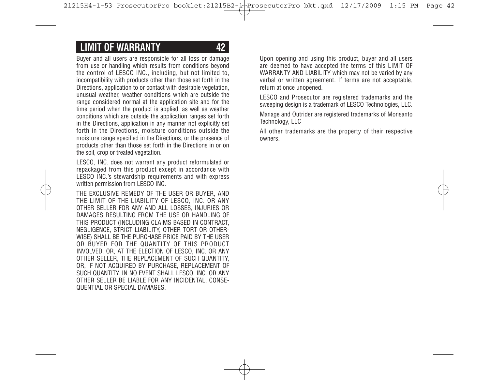## **LIMIT OF WARRANTY 42**

Buyer and all users are responsible for all loss or damage from use or handling which results from conditions beyond the control of LESCO INC., including, but not limited to, incom patibility with products other than those set forth in the Directions, application to or contact with desirable vegetation, unusual weather, weather conditions which are outside the range considered normal at the application site and for the time period when the product is applied, as well as weather conditions which are outside the application ranges set forth in the Directions, application in any manner not explicitly set forth in the Directions, moisture conditions outside the moisture range specified in the Directions, or the presence of products other than those set forth in the Directions in or on the soil, crop or treated vegetation.

LESCO, INC. does not warrant any product reformulated or repackaged from this product except in accordance with LESCO INC.'s stewardship requirements and with express written permission from LESCO INC.

THE EXCLUSIVE REMEDY OF THE USER OR BUYER, AND THE LIMIT OF THE LIABILITY OF LESCO, INC. OR ANY OTHER SELLER FOR ANY AND ALL LOSSES, INJURIES OR DAMAGES RESULTING FROM THE USE OR HANDLING OF THIS PRODUCT (INCLUDING CLAIMS BASED IN CONTRACT, NEGLIGENCE, STRICT LIABILITY, OTHER TORT OR OTHER-WISE) SHALL BE THE PURCHASE PRICE PAID BY THE USER OR BUYER FOR THE QUANTITY OF THIS PRODUCT INVOLVED, OR, AT THE ELECTION OF LESCO, INC. OR ANY OTHER SELLER, THE REPLACEMENT OF SUCH QUANTITY, OR, IF NOT ACQUIRED BY PURCHASE, REPLACEMENT OF SUCH QUANTITY. IN NO EVENT SHALL LESCO, INC. OR ANY OTHER SELLER BE LIABLE FOR ANY INCIDENTAL, CONSE-QUENTIAL OR SPECIAL DAMAGES.

Upon opening and using this product, buyer and all users are deemed to have accepted the terms of this LIMIT OF WARRANTY AND LIABILITY which may not be varied by any verbal or written agreement. If terms are not acceptable, return at once unopened.

LESCO and Prosecutor are registered trademarks and the sweeping design is a trademark of LESCO Technologies, LLC.

Manage and Outrider are registered trademarks of Monsanto Technology, LLC

All other trademarks are the property of their respective owners.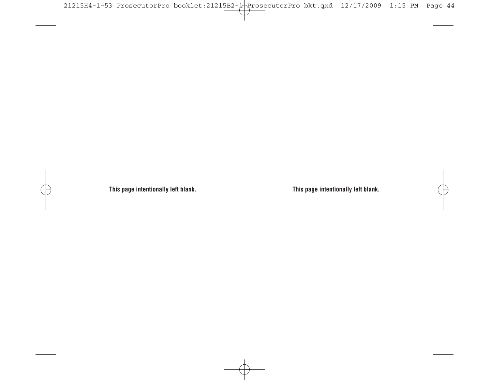**This page intentionally left blank. This page intentionally left blank.**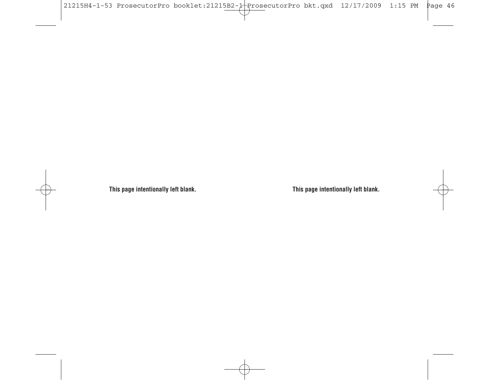**This page intentionally left blank. This page intentionally left blank.**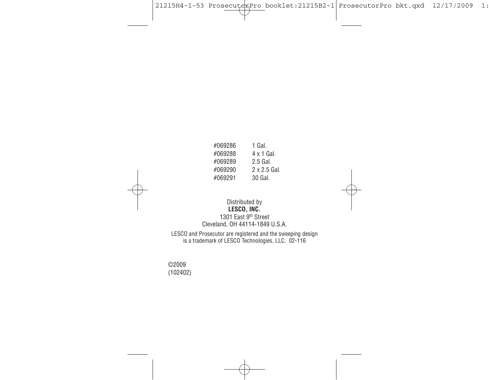| #069286 | 1 Gal.           |
|---------|------------------|
| #069288 | $4 \times 1$ Gal |
| #069289 | 2.5 Gal.         |
| #069290 | 2 x 2.5 Gal.     |
| #069291 | 30 Gal.          |
|         |                  |

Distributed by **LESCO, INC.** 1301 East 9th Street Cleveland, OH 44114-1849 U.S.A. LESCO and Prosecutor are registered and the sweeping design

is a trademark of LESCO Technologies, LLC. 02-116

©2009  $(102402)$